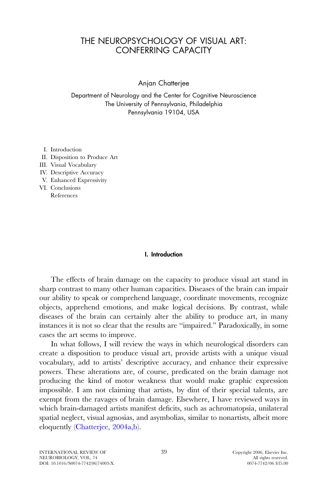# THE NEUROPSYCHOLOGY OF VISUAL ART: CONFERRING CAPACITY

Anjan Chatterjee

Department of Neurology and the Center for Cognitive Neuroscience The University of Pennsylvania, Philadelphia Pennsylvania 19104, USA

- I. Introduction
- II. Disposition to Produce Art
- III. Visual Vocabulary
- IV. Descriptive Accuracy
- V. Enhanced Expressivity
- VI. Conclusions References

### I. Introduction

The effects of brain damage on the capacity to produce visual art stand in sharp contrast to many other human capacities. Diseases of the brain can impair our ability to speak or comprehend language, coordinate movements, recognize objects, apprehend emotions, and make logical decisions. By contrast, while diseases of the brain can certainly alter the ability to produce art, in many instances it is not so clear that the results are ''impaired.'' Paradoxically, in some cases the art seems to improve.

In what follows, I will review the ways in which neurological disorders can create a disposition to produce visual art, provide artists with a unique visual vocabulary, add to artists' descriptive accuracy, and enhance their expressive powers. These alterations are, of course, predicated on the brain damage not producing the kind of motor weakness that would make graphic expression impossible. I am not claiming that artists, by dint of their special talents, are exempt from the ravages of brain damage. Elsewhere, I have reviewed ways in which brain-damaged artists manifest deficits, such as achromatopsia, unilateral spatial neglect, visual agnosias, and asymbolias, similar to nonartists, albeit more eloquently [\(Chatterjee, 2004a,b](#page-9-0)).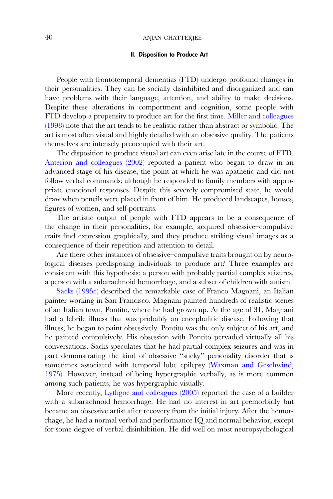## 40 ANJAN CHATTERJEE

### II. Disposition to Produce Art

People with frontotemporal dementias (FTD) undergo profound changes in their personalities. They can be socially disinhibited and disorganized and can have problems with their language, attention, and ability to make decisions. Despite these alterations in comportment and cognition, some people with FTD develop a propensity to produce art for the first time. [Miller and colleagues](#page-9-0) [\(1998\)](#page-9-0) note that the art tends to be realistic rather than abstract or symbolic. The art is most often visual and highly detailed with an obsessive quality. The patients themselves are intensely preoccupied with their art.

The disposition to produce visual art can even arise late in the course of FTD. Anterion and [colleagues](#page-8-0) (2002) reported a patient who began to draw in an advanced stage of his disease, the point at which he was apathetic and did not follow verbal commands; although he responded to family members with appropriate emotional responses. Despite this severely compromised state, he would draw when pencils were placed in front of him. He produced landscapes, houses, figures of women, and self-portraits.

The artistic output of people with FTD appears to be a consequence of the change in their personalities, for example, acquired obsessive–compulsive traits find expression graphically, and they produce striking visual images as a consequence of their repetition and attention to detail.

Are there other instances of obsessive–compulsive traits brought on by neurological diseases predisposing individuals to produce art? Three examples are consistent with this hypothesis: a person with probably partial complex seizures, a person with a subarachnoid hemorrhage, and a subset of children with autism.

[Sacks \(1995c\)](#page-10-0) described the remarkable case of Franco Magnani, an Italian painter working in San Francisco. Magnani painted hundreds of realistic scenes of an Italian town, Pontito, where he had grown up. At the age of 31, Magnani had a febrile illness that was probably an encephalitic disease. Following that illness, he began to paint obsessively. Pontito was the only subject of his art, and he painted compulsively. His obsession with Pontito pervaded virtually all his conversations. Sacks speculates that he had partial complex seizures and was in part demonstrating the kind of obsessive ''sticky'' personality disorder that is sometimes associated with temporal lobe epilepsy [\(Waxman and Geschwind,](#page-10-0) [1975](#page-10-0)). However, instead of being hypergraphic verbally, as is more common among such patients, he was hypergraphic visually.

More recently, [Lythgoe and colleagues \(2005\)](#page-9-0) reported the case of a builder with a subarachnoid hemorrhage. He had no interest in art premorbidly but became an obsessive artist after recovery from the initial injury. After the hemorrhage, he had a normal verbal and performance IQ and normal behavior, except for some degree of verbal disinhibition. He did well on most neuropsychological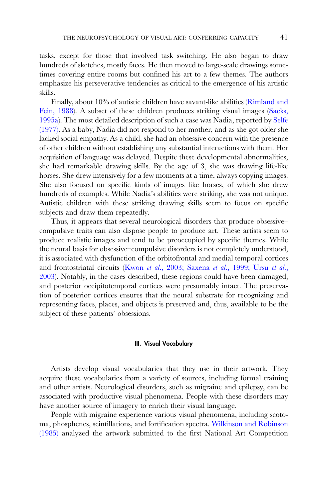tasks, except for those that involved task switching. He also began to draw hundreds of sketches, mostly faces. He then moved to large-scale drawings sometimes covering entire rooms but confined his art to a few themes. The authors emphasize his perseverative tendencies as critical to the emergence of his artistic skills.

Finally, about 10% of autistic children have savant-like abilities ([Rimland and](#page-10-0) [Fein, 1988](#page-10-0)). A subset of these children produces striking visual images [\(Sacks,](#page-10-0) [1995a\)](#page-10-0). The most detailed description of such a case was Nadia, reported by [Selfe](#page-10-0) [\(1977\).](#page-10-0) As a baby, Nadia did not respond to her mother, and as she got older she lacked social empathy. As a child, she had an obsessive concern with the presence of other children without establishing any substantial interactions with them. Her acquisition of language was delayed. Despite these developmental abnormalities, she had remarkable drawing skills. By the age of 3, she was drawing life-like horses. She drew intensively for a few moments at a time, always copying images. She also focused on specific kinds of images like horses, of which she drew hundreds of examples. While Nadia's abilities were striking, she was not unique. Autistic children with these striking drawing skills seem to focus on specific subjects and draw them repeatedly.

Thus, it appears that several neurological disorders that produce obsessive– compulsive traits can also dispose people to produce art. These artists seem to produce realistic images and tend to be preoccupied by specific themes. While the neural basis for obsessive–compulsive disorders is not completely understood, it is associated with dysfunction of the orbitofrontal and medial temporal cortices and frontostriatal circuits (Kwon et al[., 2003; Saxena](#page-9-0) et al., 1999; Ursu et al., [2003\)](#page-9-0). Notably, in the cases described, these regions could have been damaged, and posterior occipitotemporal cortices were presumably intact. The preservation of posterior cortices ensures that the neural substrate for recognizing and representing faces, places, and objects is preserved and, thus, available to be the subject of these patients' obsessions.

#### III. Visual Vocabulary

Artists develop visual vocabularies that they use in their artwork. They acquire these vocabularies from a variety of sources, including formal training and other artists. Neurological disorders, such as migraine and epilepsy, can be associated with productive visual phenomena. People with these disorders may have another source of imagery to enrich their visual language.

People with migraine experience various visual phenomena, including scotoma, phosphenes, scintillations, and fortification spectra. [Wilkinson and Robinson](#page-10-0) [\(1985\)](#page-10-0) analyzed the artwork submitted to the first National Art Competition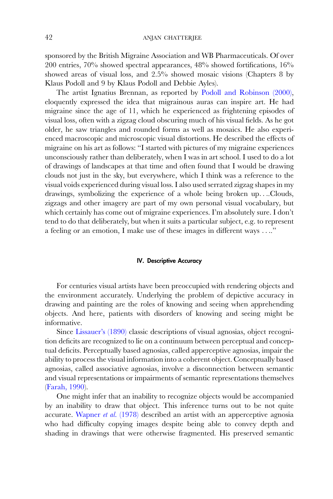sponsored by the British Migraine Association and WB Pharmaceuticals. Of over 200 entries, 70% showed spectral appearances, 48% showed fortifications, 16% showed areas of visual loss, and 2.5% showed mosaic visions (Chapters 8 by Klaus Podoll and 9 by Klaus Podoll and Debbie Ayles).

The artist Ignatius Brennan, as reported by [Podoll and Robinson \(2000\),](#page-9-0) eloquently expressed the idea that migrainous auras can inspire art. He had migraine since the age of 11, which he experienced as frightening episodes of visual loss, often with a zigzag cloud obscuring much of his visual fields. As he got older, he saw triangles and rounded forms as well as mosaics. He also experienced macroscopic and microscopic visual distortions. He described the effects of migraine on his art as follows: ''I started with pictures of my migraine experiences unconsciously rather than deliberately, when I was in art school. I used to do a lot of drawings of landscapes at that time and often found that I would be drawing clouds not just in the sky, but everywhere, which I think was a reference to the visual voids experienced during visual loss. I also used serrated zigzag shapes in my drawings, symbolizing the experience of a whole being broken up....Clouds, zigzags and other imagery are part of my own personal visual vocabulary, but which certainly has come out of migraine experiences. I'm absolutely sure. I don't tend to do that deliberately, but when it suits a particular subject, e.g. to represent a feeling or an emotion, I make use of these images in different ways  $\dots$ ."

### IV. Descriptive Accuracy

For centuries visual artists have been preoccupied with rendering objects and the environment accurately. Underlying the problem of depictive accuracy in drawing and painting are the roles of knowing and seeing when apprehending objects. And here, patients with disorders of knowing and seeing might be informative.

Since [Lissauer's \(1890\)](#page-9-0) classic descriptions of visual agnosias, object recognition deficits are recognized to lie on a continuum between perceptual and conceptual deficits. Perceptually based agnosias, called apperceptive agnosias, impair the ability to process the visual information into a coherent object. Conceptually based agnosias, called associative agnosias, involve a disconnection between semantic and visual representations or impairments of semantic representations themselves ([Farah, 1990](#page-9-0)).

One might infer that an inability to recognize objects would be accompanied by an inability to draw that object. This inference turns out to be not quite accurate. [Wapner](#page-10-0) et al. (1978) described an artist with an apperceptive agnosia who had difficulty copying images despite being able to convey depth and shading in drawings that were otherwise fragmented. His preserved semantic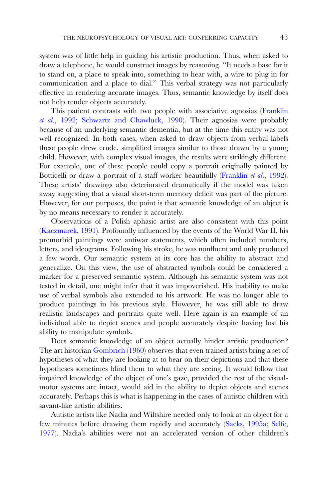system was of little help in guiding his artistic production. Thus, when asked to draw a telephone, he would construct images by reasoning. ''It needs a base for it to stand on, a place to speak into, something to hear with, a wire to plug in for communication and a place to dial.'' This verbal strategy was not particularly effective in rendering accurate images. Thus, semantic knowledge by itself does not help render objects accurately.

This patient contrasts with two people with associative agnosias ([Franklin](#page-9-0) et al[., 1992; Schwartz and Chawluck, 1990\)](#page-9-0). Their agnosias were probably because of an underlying semantic dementia, but at the time this entity was not well recognized. In both cases, when asked to draw objects from verbal labels these people drew crude, simplified images similar to those drawn by a young child. However, with complex visual images, the results were strikingly different. For example, one of these people could copy a portrait originally painted by Botticelli or draw a portrait of a staff worker beautifully [\(Franklin](#page-9-0) et al., 1992). These artists' drawings also deteriorated dramatically if the model was taken away suggesting that a visual short-term memory deficit was part of the picture. However, for our purposes, the point is that semantic knowledge of an object is by no means necessary to render it accurately.

Observations of a Polish aphasic artist are also consistent with this point [\(Kaczmarek, 1991\)](#page-9-0). Profoundly influenced by the events of the World War II, his premorbid paintings were antiwar statements, which often included numbers, letters, and ideograms. Following his stroke, he was nonfluent and only produced a few words. Our semantic system at its core has the ability to abstract and generalize. On this view, the use of abstracted symbols could be considered a marker for a preserved semantic system. Although his semantic system was not tested in detail, one might infer that it was impoverished. His inability to make use of verbal symbols also extended to his artwork. He was no longer able to produce paintings in his previous style. However, he was still able to draw realistic landscapes and portraits quite well. Here again is an example of an individual able to depict scenes and people accurately despite having lost his ability to manipulate symbols.

Does semantic knowledge of an object actually hinder artistic production? The art historian [Gombrich \(1960\)](#page-9-0) observes that even trained artists bring a set of hypotheses of what they are looking at to bear on their depictions and that these hypotheses sometimes blind them to what they are seeing. It would follow that impaired knowledge of the object of one's gaze, provided the rest of the visualmotor systems are intact, would aid in the ability to depict objects and scenes accurately. Perhaps this is what is happening in the cases of autistic children with savant-like artistic abilities.

Autistic artists like Nadia and Wiltshire needed only to look at an object for a few minutes before drawing them rapidly and accurately ([Sacks, 1995a; Selfe,](#page-10-0) [1977\)](#page-10-0). Nadia's abilities were not an accelerated version of other children's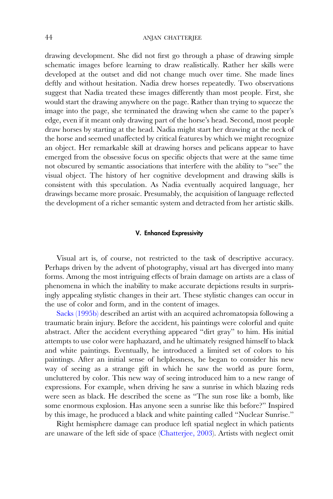# 44 ANJAN CHATTERJEE

drawing development. She did not first go through a phase of drawing simple schematic images before learning to draw realistically. Rather her skills were developed at the outset and did not change much over time. She made lines deftly and without hesitation. Nadia drew horses repeatedly. Two observations suggest that Nadia treated these images differently than most people. First, she would start the drawing anywhere on the page. Rather than trying to squeeze the image into the page, she terminated the drawing when she came to the paper's edge, even if it meant only drawing part of the horse's head. Second, most people draw horses by starting at the head. Nadia might start her drawing at the neck of the horse and seemed unaffected by critical features by which we might recognize an object. Her remarkable skill at drawing horses and pelicans appear to have emerged from the obsessive focus on specific objects that were at the same time not obscured by semantic associations that interfere with the ability to ''see'' the visual object. The history of her cognitive development and drawing skills is consistent with this speculation. As Nadia eventually acquired language, her drawings became more prosaic. Presumably, the acquisition of language reflected the development of a richer semantic system and detracted from her artistic skills.

### V. Enhanced Expressivity

Visual art is, of course, not restricted to the task of descriptive accuracy. Perhaps driven by the advent of photography, visual art has diverged into many forms. Among the most intriguing effects of brain damage on artists are a class of phenomena in which the inability to make accurate depictions results in surprisingly appealing stylistic changes in their art. These stylistic changes can occur in the use of color and form, and in the content of images.

[Sacks \(1995b\)](#page-10-0) described an artist with an acquired achromatopsia following a traumatic brain injury. Before the accident, his paintings were colorful and quite abstract. After the accident everything appeared ''dirt gray'' to him. His initial attempts to use color were haphazard, and he ultimately resigned himself to black and white paintings. Eventually, he introduced a limited set of colors to his paintings. After an initial sense of helplessness, he began to consider his new way of seeing as a strange gift in which he saw the world as pure form, uncluttered by color. This new way of seeing introduced him to a new range of expressions. For example, when driving he saw a sunrise in which blazing reds were seen as black. He described the scene as ''The sun rose like a bomb, like some enormous explosion. Has anyone seen a sunrise like this before?'' Inspired by this image, he produced a black and white painting called ''Nuclear Sunrise.''

Right hemisphere damage can produce left spatial neglect in which patients are unaware of the left side of space ([Chatterjee, 2003](#page-9-0)). Artists with neglect omit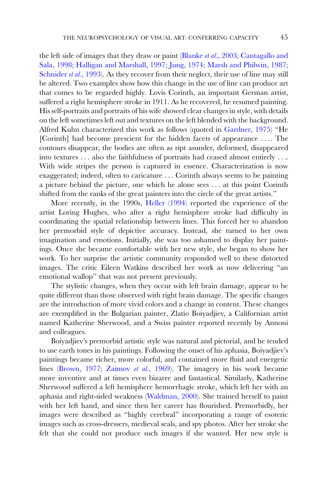the left side of images that they draw or paint (Blanke *et al.*, 2003; [Cantagallo](#page-9-0) and Sala, 1998; Halligan and [Marshall,](#page-9-0) 1997; Jung, 1974; Marsh and Philwin, 1987; [Schnider](#page-9-0) *et al.*, 1993). As they recover from their neglect, their use of line may still be altered. Two examples show how this change in the use of line can produce art that comes to be regarded highly. Lovis Corinth, an important German artist, suffered a right hemisphere stroke in  $1911$ . As he recovered, he resumed painting. His self-portraits and portraits of his wife showed clear changes in style, with details on the left sometimes left out and textures on the left blended with the background. Alfred Kuhn characterized this work as follows (quoted in [Gardner, 1975\)](#page-9-0) ''He [Corinth] had become prescient for the hidden facets of appearance .... The contours disappear, the bodies are often as ript asunder, deformed, disappeared into textures ... also the faithfulness of portraits had ceased almost entirely .... With wide stripes the person is captured in essence. Characterization is now exaggerated; indeed, often to caricature ... Corinth always seems to be painting a picture behind the picture, one which he alone sees ... at this point Corinth shifted from the ranks of the great painters into the circle of the great artists.''

More recently, in the 1990s, [Heller \(1994\)](#page-9-0) reported the experience of the artist Loring Hughes, who after a right hemisphere stroke had difficulty in coordinating the spatial relationship between lines. This forced her to abandon her premorbid style of depictive accuracy. Instead, she turned to her own imagination and emotions. Initially, she was too ashamed to display her paintings. Once she became comfortable with her new style, she began to show her work. To her surprise the artistic community responded well to these distorted images. The critic Eileen Watkins described her work as now delivering ''an emotional wallop'' that was not present previously.

The stylistic changes, when they occur with left brain damage, appear to be quite different than those observed with right brain damage. The specific changes are the introduction of more vivid colors and a change in content. These changes are exemplified in the Bulgarian painter, Zlatio Boiyadjiev, a Californian artist named Katherine Sherwood, and a Swiss painter reported recently by Annoni and colleagues.

Boiyadjiev's premorbid artistic style was natural and pictorial, and he tended to use earth tones in his paintings. Following the onset of his aphasia, Boiyadjiev's paintings became richer, more colorful, and contained more fluid and energetic lines [\(Brown, 1977; Zaimov](#page-9-0) et al., 1969). The imagery in his work became more inventive and at times even bizarre and fantastical. Similarly, Katherine Sherwood suffered a left hemisphere hemorrhagic stroke, which left her with an aphasia and right-sided weakness ([Waldman, 2000](#page-10-0)). She trained herself to paint with her left hand, and since then her career has flourished. Premorbidly, her images were described as ''highly cerebral'' incorporating a range of esoteric images such as cross-dressers, medieval seals, and spy photos. After her stroke she felt that she could not produce such images if she wanted. Her new style is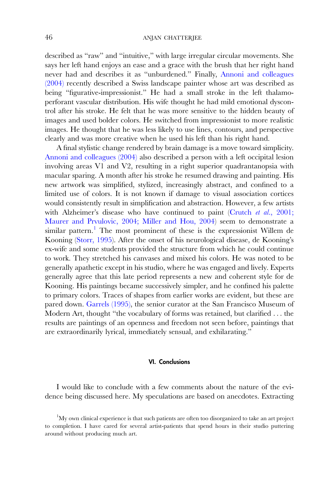# 46 ANJAN CHATTERJEE

described as "raw" and "intuitive," with large irregular circular movements. She says her left hand enjoys an ease and a grace with the brush that her right hand never had and describes it as ''unburdened.'' Finally, [Annoni and colleagues](#page-8-0) [\(2004\)](#page-8-0) recently described a Swiss landscape painter whose art was described as being "figurative-impressionist." He had a small stroke in the left thalamoperforant vascular distribution. His wife thought he had mild emotional dyscontrol after his stroke. He felt that he was more sensitive to the hidden beauty of images and used bolder colors. He switched from impressionist to more realistic images. He thought that he was less likely to use lines, contours, and perspective clearly and was more creative when he used his left than his right hand.

A final stylistic change rendered by brain damage is a move toward simplicity. [Annoni and colleagues \(2004\)](#page-8-0) also described a person with a left occipital lesion involving areas V1 and V2, resulting in a right superior quadrantanopsia with macular sparing. A month after his stroke he resumed drawing and painting. His new artwork was simplified, stylized, increasingly abstract, and confined to a limited use of colors. It is not known if damage to visual association cortices would consistently result in simplification and abstraction. However, a few artists with Alzheimer's disease who have continued to paint (Crutch  $et$   $al., 2001;$  $al., 2001;$ [Maurer and Prvulovic, 2004; Miller and Hou, 2004](#page-9-0)) seem to demonstrate a similar pattern.<sup>1</sup> The most prominent of these is the expressionist Willem de Kooning [\(Storr, 1995](#page-10-0)). After the onset of his neurological disease, de Kooning's ex-wife and some students provided the structure from which he could continue to work. They stretched his canvases and mixed his colors. He was noted to be generally apathetic except in his studio, where he was engaged and lively. Experts generally agree that this late period represents a new and coherent style for de Kooning. His paintings became successively simpler, and he confined his palette to primary colors. Traces of shapes from earlier works are evident, but these are pared down. [Garrels \(1995\)](#page-9-0), the senior curator at the San Francisco Museum of Modern Art, thought ''the vocabulary of forms was retained, but clarified ... the results are paintings of an openness and freedom not seen before, paintings that are extraordinarily lyrical, immediately sensual, and exhilarating.''

### VI. Conclusions

I would like to conclude with a few comments about the nature of the evidence being discussed here. My speculations are based on anecdotes. Extracting

<sup>&</sup>lt;sup>1</sup>My own clinical experience is that such patients are often too disorganized to take an art project to completion. I have cared for several artist-patients that spend hours in their studio puttering around without producing much art.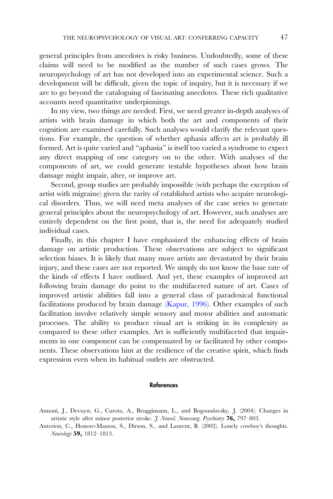<span id="page-8-0"></span>general principles from anecdotes is risky business. Undoubtedly, some of these claims will need to be modified as the number of such cases grows. The neuropsychology of art has not developed into an experimental science. Such a development will be difficult, given the topic of inquiry, but it is necessary if we are to go beyond the cataloguing of fascinating anecdotes. These rich qualitative accounts need quantitative underpinnings.

In my view, two things are needed. First, we need greater in-depth analyses of artists with brain damage in which both the art and components of their cognition are examined carefully. Such analyses would clarify the relevant questions. For example, the question of whether aphasia affects art is probably ill formed. Art is quite varied and ''aphasia'' is itself too varied a syndrome to expect any direct mapping of one category on to the other. With analyses of the components of art, we could generate testable hypotheses about how brain damage might impair, alter, or improve art.

Second, group studies are probably impossible (with perhaps the exception of artist with migraine) given the rarity of established artists who acquire neurological disorders. Thus, we will need meta analyses of the case series to generate general principles about the neuropsychology of art. However, such analyses are entirely dependent on the first point, that is, the need for adequately studied individual cases.

Finally, in this chapter I have emphasized the enhancing effects of brain damage on artistic production. These observations are subject to significant selection biases. It is likely that many more artists are devastated by their brain injury, and these cases are not reported. We simply do not know the base rate of the kinds of effects I have outlined. And yet, these examples of improved art following brain damage do point to the multifaceted nature of art. Cases of improved artistic abilities fall into a general class of paradoxical functional facilitations produced by brain damage [\(Kapur, 1996](#page-9-0)). Other examples of such facilitation involve relatively simple sensory and motor abilities and automatic processes. The ability to produce visual art is striking in its complexity as compared to these other examples. Art is sufficiently multifaceted that impairments in one component can be compensated by or facilitated by other components. These observations hint at the resilience of the creative spirit, which finds expression even when its habitual outlets are obstructed.

## References

- Annoni, J., Devuyst, G., Carota, A., Bruggimann, L., and Bogousslavsky, J. (2004). Changes in artistic style after minor posterior stroke. J. Neurol. Neurosurg. Psychiatry 76, 797-803.
- Anterion, C., Honore-Masson, S., Dirson, S., and Laurent, B. (2002). Lonely cowboy's thoughts. Neurology 59, 1812–1813.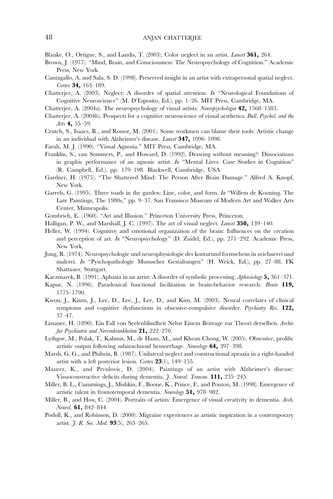- <span id="page-9-0"></span>Blanke, O., Ortigue, S., and Landis, T. (2003). Color neglect in an artist. Lancet 361, 264.
- Brown, J. (1977). ''Mind, Brain, and Consciousness: The Neuropsychology of Cognition.'' Academic Press, New York.
- Cantagallo, A, and Sala, S. D. (1998). Preserved insight in an artist with extrapersonal spatial neglect. Cortex 34, 163-189.
- Chatterjee, A. (2003). Neglect: A disorder of spatial attention. In ''Neurological Foundations of Cognitive Neuroscience'' (M. D'Esposito, Ed.), pp. 1–26. MIT Press, Cambridge, MA.
- Chatterjee, A. (2004a). The neuropsychology of visual artists. Neuropsychologia 42, 1568–1583.
- Chatterjee, A. (2004b). Prospects for a cognitive neuroscience of visual aesthetics. Bull. Psychol. and the Arts  $4, 55 - 59$ .
- Crutch, S., Isaacs, R., and Rossor, M. (2001). Some workmen can blame their tools: Artistic change in an individual with Alzheimer's disease. Lancet 347, 1096–1098.
- Farah, M. J. (1990). ''Visual Agnosia.'' MIT Press, Cambridge, MA.
- Franklin, S., van Sommers, P., and Howard, D. (1992). Drawing without meaning?: Dissociations in graphic performance of an agnosic artist. In ''Mental Lives. Case Studies in Cognition'' (R. Campbell, Ed.), pp. 179–198. Blackwell, Cambridge, USA.
- Gardner, H. (1975). ''The Shattered Mind: The Person After Brain Damage.'' Alfred A. Knopf, New York.
- Garrels, G. (1995). Three toads in the garden: Line, color, and form. In ''Willem de Kooning. The Late Paintings, The 1980s,'' pp. 9–37. San Fransisco Museum of Modern Art and Walker Arts Center, Minneapolis.
- Gombrich, E. (1960). ''Art and Illusion.'' Princeton University Press, Princeton.
- Halligan, P. W., and Marshall, J. C. (1997). The art of visual neglect. Lancet 350, 139–140.
- Heller, W. (1994). Cognitive and emotional organization of the brain: Influences on the creation and perception of art. In ''Neuropsychology'' (D. Zaidel, Ed.), pp. 271–292. Academic Press, New York.
- Jung, R. (1974). Neuropsychologie und neurophysiologie des konturund formsehens in zeichnerei und malerei. In ''Pyschopathologie Mususcher Gestaltungen'' (H. Weick, Ed.), pp. 27–88. FK Shattauer, Stuttgart.
- Kaczmarek, B. (1991). Aphasia in an artist: A disorder of symbolic processing. Aphasiology 5, 361–371.
- Kapur, N. (1996). Paradoxical functional facilitation in brain-behavior research. Brain 119, 1775–1790.
- Kwon, J., Kinm, J., Lee, D., Lee, J., Lee, D., and Kim, M. (2003). Neural correlates of clinical symptoms and cognitive dysfunctions in obsessive-compulsive disorder. Psychiatry Res. 122, 37–47.
- Lissauer, H. (1890). Ein Fall von Seelenblindheit Nebst Einem Beitrage zur Theori derselben. Archiv fur Psychiatrie und Nervenkrankheiten 21, 222-270.
- Lythgoe, M., Polak, T., Kalmus, M., de Haan, M., and Khean Chong, W. (2005). Obsessive, prolific artistic output following subarachnoid hemorrhage. Neurology 64, 397–398.
- Marsh, G. G., and Philwin, B. (1987). Unilateral neglect and constructional apraxia in a right-handed artist with a left posterior lesion. Cortex  $23(1)$ , 149–155.
- Maurer, K., and Prvulovic, D. (2004). Paintings of an artist with Alzheimer's disease: Visuoconstructive deficits during dementia. *J. Neural. Transm.* 111, 235-245.
- Miller, B. L., Cummings, J., Mishkin, F., Boone, K., Prince, F., and Ponton, M. (1998). Emergence of artistic talent in frontotemporal dementia. Neurology 51, 978–982.
- Miller, B., and Hou, C. (2004). Portraits of artists: Emergence of visual creativity in dementia. Arch. Neurol. 61, 842–844.
- Podoll, K., and Robinson, D. (2000). Migraine experiences as artistic inspiration in a contemporary artist. *J. R. Soc. Med.* **93**(5), 263-265.